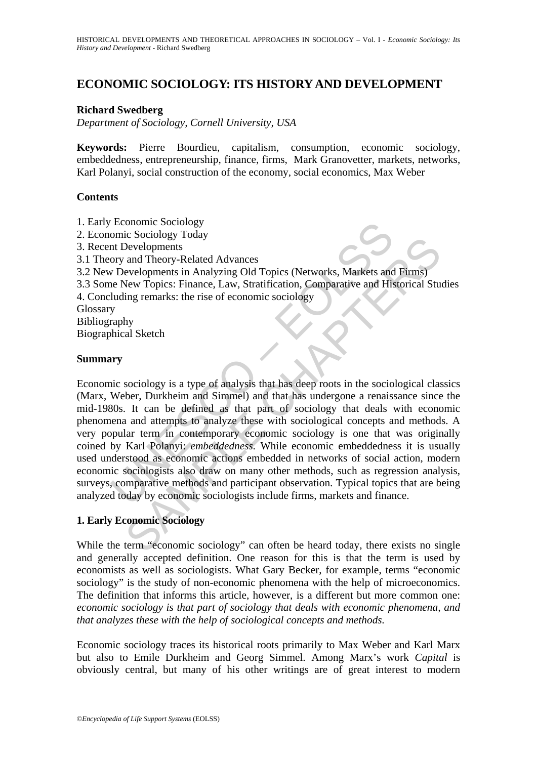# **ECONOMIC SOCIOLOGY: ITS HISTORY AND DEVELOPMENT**

## **Richard Swedberg**

*Department of Sociology, Cornell University, USA* 

**Keywords:** Pierre Bourdieu, capitalism, consumption, economic sociology, embeddedness, entrepreneurship, finance, firms, Mark Granovetter, markets, networks, Karl Polanyi, social construction of the economy, social economics, Max Weber

### **Contents**

- 1. Early Economic Sociology
- 2. Economic Sociology Today
- 3. Recent Developments
- 3.1 Theory and Theory-Related Advances
- 3.2 New Developments in Analyzing Old Topics (Networks, Markets and Firms)
- 3.3 Some New Topics: Finance, Law, Stratification, Comparative and Historical Studies
- 4. Concluding remarks: the rise of economic sociology

**Glossary** 

Bibliography

Biographical Sketch

## **Summary**

Economic Sociology<br>
omic Sociology<br>
ant Developments<br>
ory and Theory-Related Advances<br>
v Developments in Analyzing Old Topics (Networks, Markets and<br>
e New Topics: Finance, Law, Stratification, Comparative and His<br>
luding Exercise gy rotary<br>
Developments<br>
and Theory-Related Advances<br>
and Theory-Related Advances<br>
and Theory-Related Advances<br>
are velopments in Analyzing Old Topics (Networks, Markets and Firms)<br>
ing remarks: the rise of econom Economic sociology is a type of analysis that has deep roots in the sociological classics (Marx, Weber, Durkheim and Simmel) and that has undergone a renaissance since the mid-1980s. It can be defined as that part of sociology that deals with economic phenomena and attempts to analyze these with sociological concepts and methods. A very popular term in contemporary economic sociology is one that was originally coined by Karl Polanyi: *embeddedness.* While economic embeddedness it is usually used understood as economic actions embedded in networks of social action, modern economic sociologists also draw on many other methods, such as regression analysis, surveys, comparative methods and participant observation. Typical topics that are being analyzed today by economic sociologists include firms, markets and finance.

# **1. Early Economic Sociology**

While the term "economic sociology" can often be heard today, there exists no single and generally accepted definition. One reason for this is that the term is used by economists as well as sociologists. What Gary Becker, for example, terms "economic sociology" is the study of non-economic phenomena with the help of microeconomics. The definition that informs this article, however, is a different but more common one: *economic sociology is that part of sociology that deals with economic phenomena, and that analyzes these with the help of sociological concepts and methods.*

Economic sociology traces its historical roots primarily to Max Weber and Karl Marx but also to Emile Durkheim and Georg Simmel. Among Marx's work *Capital* is obviously central, but many of his other writings are of great interest to modern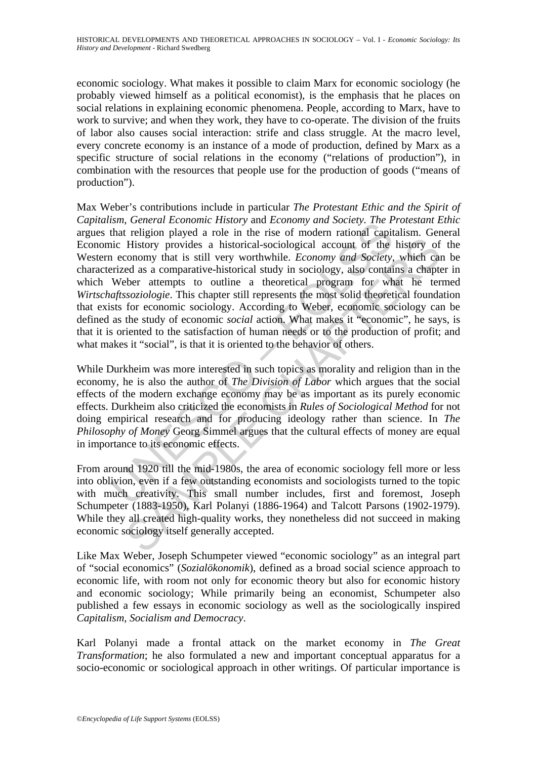economic sociology. What makes it possible to claim Marx for economic sociology (he probably viewed himself as a political economist), is the emphasis that he places on social relations in explaining economic phenomena. People, according to Marx, have to work to survive; and when they work, they have to co-operate. The division of the fruits of labor also causes social interaction: strife and class struggle. At the macro level, every concrete economy is an instance of a mode of production, defined by Marx as a specific structure of social relations in the economy ("relations of production"), in combination with the resources that people use for the production of goods ("means of production").

Issue Evaluated Evaluated Tracket and Economy and Society. The Tracket<br>that religion played a role in the rise of modern rational capitic History provides a historical-sociological account of the reconomy that is still ver History provides a historical-sociological account of the history of<br>History provides a historical-sociological account of the history of<br>conomy that is still very worthwhile. *Economy and Society*, which can<br>ed a a compa Max Weber's contributions include in particular *The Protestant Ethic and the Spirit of Capitalism*, *General Economic History* and *Economy and Society. The Protestant Ethic* argues that religion played a role in the rise of modern rational capitalism. General Economic History provides a historical-sociological account of the history of the Western economy that is still very worthwhile. *Economy and Society*, which can be characterized as a comparative-historical study in sociology, also contains a chapter in which Weber attempts to outline a theoretical program for what he termed *Wirtschaftssoziologie*. This chapter still represents the most solid theoretical foundation that exists for economic sociology. According to Weber, economic sociology can be defined as the study of economic *social* action. What makes it "economic", he says, is that it is oriented to the satisfaction of human needs or to the production of profit; and what makes it "social", is that it is oriented to the behavior of others.

While Durkheim was more interested in such topics as morality and religion than in the economy, he is also the author of *The Division of Labor* which argues that the social effects of the modern exchange economy may be as important as its purely economic effects. Durkheim also criticized the economists in *Rules of Sociological Method* for not doing empirical research and for producing ideology rather than science. In *The Philosophy of Money* Georg Simmel argues that the cultural effects of money are equal in importance to its economic effects.

From around 1920 till the mid-1980s, the area of economic sociology fell more or less into oblivion, even if a few outstanding economists and sociologists turned to the topic with much creativity. This small number includes, first and foremost, Joseph Schumpeter (1883-1950), Karl Polanyi (1886-1964) and Talcott Parsons (1902-1979). While they all created high-quality works, they nonetheless did not succeed in making economic sociology itself generally accepted.

Like Max Weber, Joseph Schumpeter viewed "economic sociology" as an integral part of "social economics" (*Sozialökonomik*), defined as a broad social science approach to economic life, with room not only for economic theory but also for economic history and economic sociology; While primarily being an economist, Schumpeter also published a few essays in economic sociology as well as the sociologically inspired *Capitalism, Socialism and Democracy*.

Karl Polanyi made a frontal attack on the market economy in *The Great Transformation*; he also formulated a new and important conceptual apparatus for a socio-economic or sociological approach in other writings. Of particular importance is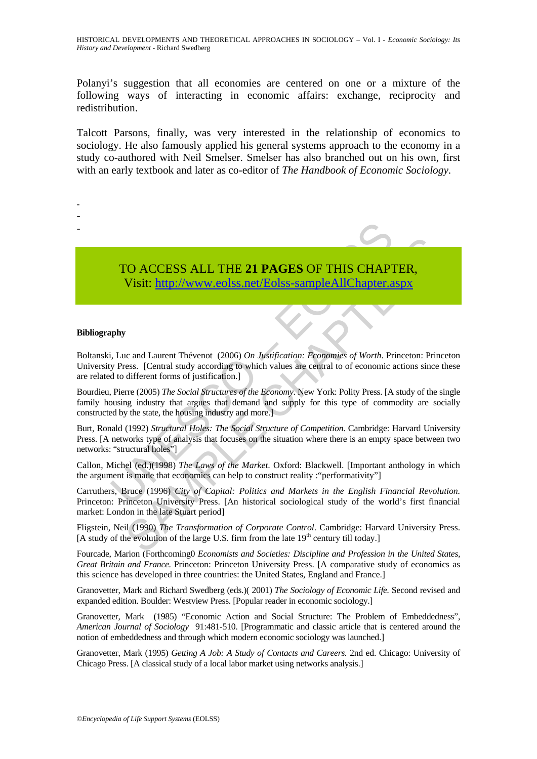Polanyi's suggestion that all economies are centered on one or a mixture of the following ways of interacting in economic affairs: exchange, reciprocity and redistribution.

Talcott Parsons, finally, was very interested in the relationship of economics to sociology. He also famously applied his general systems approach to the economy in a study co-authored with Neil Smelser. Smelser has also branched out on his own, first with an early textbook and later as co-editor of *The Handbook of Economic Sociology*.

> TO ACCESS ALL THE **21 PAGES** OF THIS CHAPTER, Visit: http://www.eolss.net/Eolss-sampleAllChapter.aspx

#### **Bibliography**

- - -

TO ACCESS ALL THE 21 PAGES OF THIS CHAP<br>Visit: http://www.colss.net/Eolss-sampleAllChapter.a<br>phy<br>thy<br>the state of the state of the state of the state of the press.<br>[Central study according to which values are central to of Boltanski, Luc and Laurent Thévenot (2006) *On Justification: Economies of Worth*. Princeton: Princeton University Press. [Central study according to which values are central to of economic actions since these are related to different forms of justification.]

Bourdieu, Pierre (2005) *The Social Structures of the Economy*. New York: Polity Press. [A study of the single family housing industry that argues that demand and supply for this type of commodity are socially constructed by the state, the housing industry and more.]

Burt, Ronald (1992) *Structural Holes: The Social Structure of Competition*. Cambridge: Harvard University Press. [A networks type of analysis that focuses on the situation where there is an empty space between two networks: "structural holes"]

Callon, Michel (ed.)(1998) *The Laws of the Market*. Oxford: Blackwell. [Important anthology in which the argument is made that economics can help to construct reality :"performativity"]

CO ACCESS ALL THE 21 PAGES OF THIS CHAPTER,<br>
Visit:  $\frac{http://www.eolss.net/Eolss-sampleAllChapter.approxx}{http://www.eolss.net/Eolss-sampleAllChapter.approxx}$ <br>
c and Laurent Thévenot (2006) On Justification: Economics of Worth. Princeton: Princetos.<br>
cess. [Central study according to w Carruthers, Bruce (1996) *City of Capital: Politics and Markets in the English Financial Revolution.* Princeton: Princeton University Press. [An historical sociological study of the world's first financial market: London in the late Stuart period]

Fligstein, Neil (1990) *The Transformation of Corporate Control*. Cambridge: Harvard University Press. [A study of the evolution of the large U.S. firm from the late  $19<sup>th</sup>$  century till today.]

Fourcade, Marion (Forthcoming0 *Economists and Societies: Discipline and Profession in the United States, Great Britain and France*. Princeton: Princeton University Press. [A comparative study of economics as this science has developed in three countries: the United States, England and France.]

Granovetter, Mark and Richard Swedberg (eds.)( 2001) *The Sociology of Economic Life.* Second revised and expanded edition. Boulder: Westview Press. [Popular reader in economic sociology.]

Granovetter, Mark (1985) "Economic Action and Social Structure: The Problem of Embeddedness", *American Journal of Sociology* 91:481-510. [Programmatic and classic article that is centered around the notion of embeddedness and through which modern economic sociology was launched.]

Granovetter, Mark (1995) *Getting A Job: A Study of Contacts and Careers.* 2nd ed. Chicago: University of Chicago Press. [A classical study of a local labor market using networks analysis.]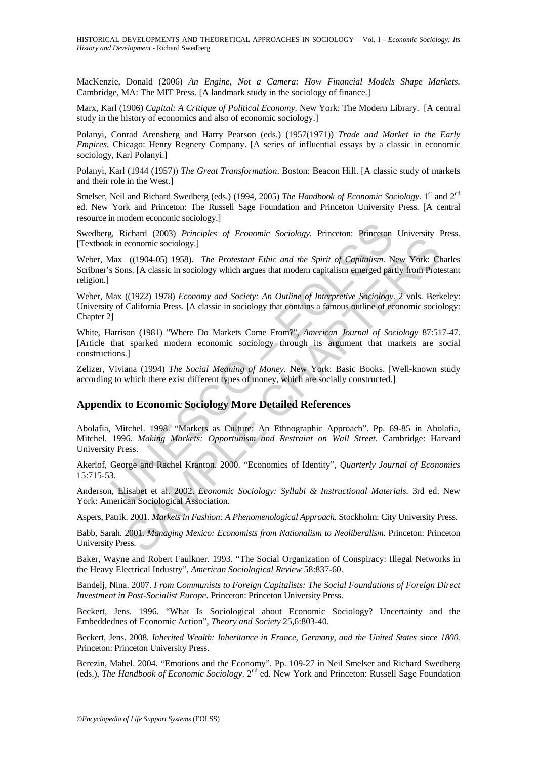MacKenzie, Donald (2006) *An Engine, Not a Camera: How Financial Models Shape Markets.*  Cambridge, MA: The MIT Press. [A landmark study in the sociology of finance.]

Marx, Karl (1906) *Capital: A Critique of Political Economy*. New York: The Modern Library. [A central study in the history of economics and also of economic sociology.]

Polanyi, Conrad Arensberg and Harry Pearson (eds.) (1957(1971)) *Trade and Market in the Early Empires.* Chicago: Henry Regnery Company. [A series of influential essays by a classic in economic sociology, Karl Polanyi.]

Polanyi, Karl (1944 (1957)) *The Great Transformation*. Boston: Beacon Hill. [A classic study of markets and their role in the West.]

Smelser, Neil and Richard Swedberg (eds.) (1994, 2005) *The Handbook of Economic Sociology*. 1<sup>st</sup> and 2<sup>nd</sup> ed. New York and Princeton: The Russell Sage Foundation and Princeton University Press. [A central resource in modern economic sociology.]

Swedberg, Richard (2003) *Principles of Economic Sociology*. Princeton: Princeton University Press. [Textbook in economic sociology.]

Weber, Max ((1904-05) 1958). *The Protestant Ethic and the Spirit of Capitalism*. New York: Charles Scribner's Sons. [A classic in sociology which argues that modern capitalism emerged partly from Protestant religion.]

Weber, Max ((1922) 1978) *Economy and Society: An Outline of Interpretive Sociology*. 2 vols. Berkeley: University of California Press. [A classic in sociology that contains a famous outline of economic sociology: Chapter 2]

White, Harrison (1981) "Where Do Markets Come From?", *American Journal of Sociology* 87:517-47. [Article that sparked modern economic sociology through its argument that markets are social constructions.]

Zelizer, Viviana (1994) *The Social Meaning of Money*. New York: Basic Books. [Well-known study according to which there exist different types of money, which are socially constructed.]

#### **Appendix to Economic Sociology More Detailed References**

1, Richard (2003) *Principles of Economic Sociology*. Princeton: Princeton<br>
is in economic sociology.]<br>
Atax ((1904-05) 1958). *The Protestant Ethic and the Spirit of Capitalism*. N<br>
Sons. [A classic in sociology which arg Example of *Sectional different Ethical different schedulary*. The *Capitalism*. New York: Chapter of Capitalism emerged partly from Prote<br>
1. (1904-05) 1958). *The Protestant Ethic and the Spirit of Capitalism*. New York: Abolafia, Mitchel. 1998. "Markets as Culture: An Ethnographic Approach". Pp. 69-85 in Abolafia, Mitchel. 1996. *Making Markets: Opportunism and Restraint on Wall Street.* Cambridge: Harvard University Press.

Akerlof, George and Rachel Kranton. 2000. "Economics of Identity", *Quarterly Journal of Economics* 15:715-53.

Anderson, Elisabet et al. 2002. *Economic Sociology: Syllabi & Instructional Materials.* 3rd ed. New York: American Sociological Association.

Aspers, Patrik. 2001. *Markets in Fashion: A Phenomenological Approach.* Stockholm: City University Press.

Babb, Sarah. 2001. *Managing Mexico: Economists from Nationalism to Neoliberalism.* Princeton: Princeton University Press.

Baker, Wayne and Robert Faulkner. 1993. "The Social Organization of Conspiracy: Illegal Networks in the Heavy Electrical Industry", *American Sociological Review* 58:837-60.

Bandelj, Nina. 2007. *From Communists to Foreign Capitalists: The Social Foundations of Foreign Direct Investment in Post-Socialist Europe*. Princeton: Princeton University Press.

Beckert, Jens. 1996. "What Is Sociological about Economic Sociology? Uncertainty and the Embeddednes of Economic Action", *Theory and Society* 25,6:803-40.

Beckert, Jens. 2008. *Inherited Wealth: Inheritance in France, Germany, and the United States since 1800.*  Princeton: Princeton University Press.

Berezin, Mabel. 2004. "Emotions and the Economy". Pp. 109-27 in Neil Smelser and Richard Swedberg (eds.), *The Handbook of Economic Sociology*. 2nd ed. New York and Princeton: Russell Sage Foundation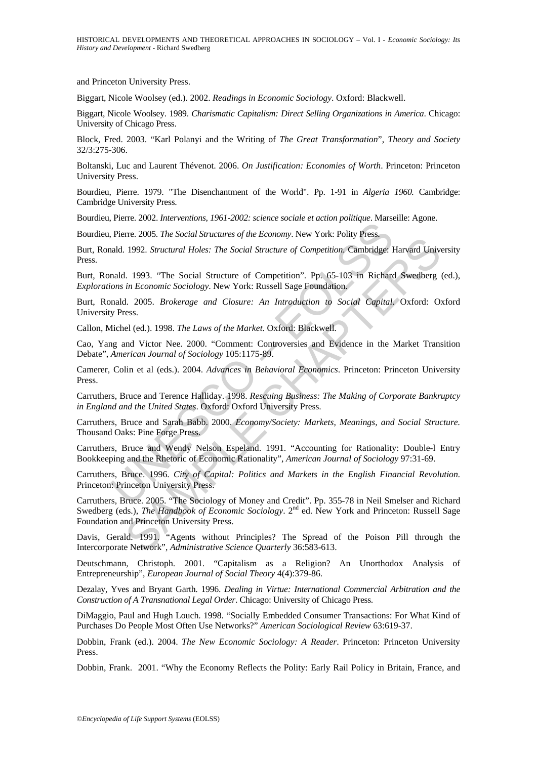and Princeton University Press.

Biggart, Nicole Woolsey (ed.). 2002. *Readings in Economic Sociology*. Oxford: Blackwell.

Biggart, Nicole Woolsey. 1989. *Charismatic Capitalism: Direct Selling Organizations in America*. Chicago: University of Chicago Press.

Block, Fred. 2003. "Karl Polanyi and the Writing of *The Great Transformation*", *Theory and Society* 32/3:275-306.

Boltanski, Luc and Laurent Thévenot. 2006. *On Justification: Economies of Worth*. Princeton: Princeton University Press.

Bourdieu, Pierre. 1979. "The Disenchantment of the World". Pp. 1-91 in *Algeria 1960.* Cambridge: Cambridge University Press.

Bourdieu, Pierre. 2002. *Interventions, 1961-2002: science sociale et action politique*. Marseille: Agone.

Bourdieu, Pierre. 2005. *The Social Structures of the Economy*. New York: Polity Press.

There. 2005. The Social Structures of the Economy. New York: Politics Press.<br>
Reire. 2005. The Social Structures of the Economy. New York: Polity Press.<br>
andd. 1992. *Structural Holes: The Social Structure of Competition*. Burt, Ronald. 1992. *Structural Holes: The Social Structure of Competition*. Cambridge: Harvard University Press.

Burt, Ronald. 1993. "The Social Structure of Competition". Pp. 65-103 in Richard Swedberg (ed.), *Explorations in Economic Sociology*. New York: Russell Sage Foundation.

Burt, Ronald. 2005. *Brokerage and Closure: An Introduction to Social Capital.* Oxford: Oxford University Press.

Callon, Michel (ed.). 1998. *The Laws of the Market*. Oxford: Blackwell.

Cao, Yang and Victor Nee. 2000. "Comment: Controversies and Evidence in the Market Transition Debate", *American Journal of Sociology* 105:1175-89.

Camerer, Colin et al (eds.). 2004. *Advances in Behavioral Economics*. Princeton: Princeton University Press.

Carruthers, Bruce and Terence Halliday. 1998. *Rescuing Business: The Making of Corporate Bankruptcy in England and the United States*. Oxford: Oxford University Press.

Carruthers, Bruce and Sarah Babb. 2000. *Economy/Society: Markets, Meanings, and Social Structure.* Thousand Oaks: Pine Forge Press.

Carruthers, Bruce and Wendy Nelson Espeland. 1991. "Accounting for Rationality: Double-l Entry Bookkeeping and the Rhetoric of Economic Rationality", *American Journal of Sociology* 97:31-69.

Carruthers, Bruce. 1996. *City of Capital: Politics and Markets in the English Financial Revolution.* Princeton: Princeton University Press.

1992. *Structural Holes: The Social Structure of Competition*. Cank Jongs Harvard University Press. The Social Structure of Competition, Cambridge: Harvard University in *Economic Sociology*. New York: Russell Sage Foundat Carruthers, Bruce. 2005. "The Sociology of Money and Credit". Pp. 355-78 in Neil Smelser and Richard Swedberg (eds.), *The Handbook of Economic Sociology*. 2<sup>nd</sup> ed. New York and Princeton: Russell Sage Foundation and Princeton University Press.

Davis, Gerald. 1991. "Agents without Principles? The Spread of the Poison Pill through the Intercorporate Network", *Administrative Science Quarterly* 36:583-613.

Deutschmann, Christoph. 2001. "Capitalism as a Religion? An Unorthodox Analysis of Entrepreneurship", *European Journal of Social Theory* 4(4):379-86.

Dezalay, Yves and Bryant Garth. 1996. *Dealing in Virtue: International Commercial Arbitration and the Construction of A Transnational Legal Order*. Chicago: University of Chicago Press.

DiMaggio, Paul and Hugh Louch. 1998. "Socially Embedded Consumer Transactions: For What Kind of Purchases Do People Most Often Use Networks?" *American Sociological Review* 63:619-37.

Dobbin, Frank (ed.). 2004. *The New Economic Sociology: A Reader*. Princeton: Princeton University Press.

Dobbin, Frank. 2001. "Why the Economy Reflects the Polity: Early Rail Policy in Britain, France, and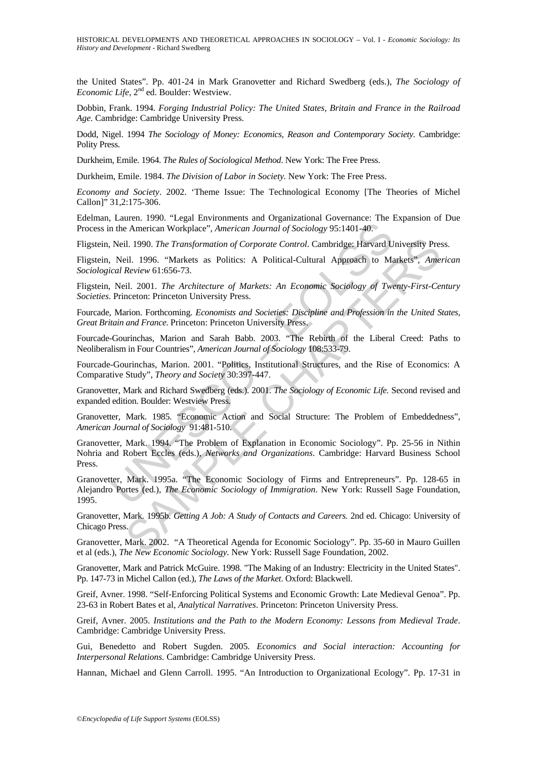the United States". Pp. 401-24 in Mark Granovetter and Richard Swedberg (eds.), *The Sociology of Economic Life*, 2<sup>nd</sup> ed. Boulder: Westview.

Dobbin, Frank. 1994*. Forging Industrial Policy: The United States, Britain and France in the Railroad Age.* Cambridge: Cambridge University Press.

Dodd, Nigel. 1994 *The Sociology of Money: Economics, Reason and Contemporary Society.* Cambridge: Polity Press.

Durkheim, Emile. 1964. *The Rules of Sociological Method*. New York: The Free Press.

Durkheim, Emile. 1984. *The Division of Labor in Society.* New York: The Free Press.

*Economy and Society*. 2002. 'Theme Issue: The Technological Economy [The Theories of Michel Callon]" 31,2:175-306.

Edelman, Lauren. 1990. "Legal Environments and Organizational Governance: The Expansion of Due Process in the American Workplace", *American Journal of Sociology* 95:1401-40.

Fligstein, Neil. 1990. *The Transformation of Corporate Control*. Cambridge: Harvard University Press.

Fligstein, Neil. 1996. "Markets as Politics: A Political-Cultural Approach to Markets", *American Sociological Review* 61:656-73.

Fligstein, Neil. 2001. *The Architecture of Markets: An Economic Sociology of Twenty-First-Century Societies*. Princeton: Princeton University Press.

Fourcade, Marion. Forthcoming. *Economists and Societies: Discipline and Profession in the United States, Great Britain and France*. Princeton: Princeton University Press.

Fourcade-Gourinchas, Marion and Sarah Babb. 2003. "The Rebirth of the Liberal Creed: Paths to Neoliberalism in Four Countries", *American Journal of Sociology* 108:533-79.

Fourcade-Gourinchas, Marion. 2001. "Politics, Institutional Structures, and the Rise of Economics: A Comparative Study", *Theory and Society* 30:397-447.

Granovetter, Mark and Richard Swedberg (eds.). 2001. *The Sociology of Economic Life.* Second revised and expanded edition. Boulder: Westview Press.

Granovetter, Mark. 1985. "Economic Action and Social Structure: The Problem of Embeddedness", *American Journal of Sociology* 91:481-510.

nation of Scribtz and The American Workplace", American Journal of Sociology 95:1401-40.<br>
Neil. 1990. The Transformation of Corporate Control. Cambridge: Harvard U<br>
Neil. 1990. The Transformation of Corporate Control. Camb il. 1990. The Transformation of Corporate Control. Cambridge: Harvard University Presidential. 1996. "Markets as Politics: A Political-Cultural Approach to Markets", American General Approach to Markets". American General Granovetter, Mark. 1994. "The Problem of Explanation in Economic Sociology". Pp. 25-56 in Nithin Nohria and Robert Eccles (eds.), *Networks and Organizations*. Cambridge: Harvard Business School Press.

Granovetter, Mark. 1995a. "The Economic Sociology of Firms and Entrepreneurs". Pp. 128-65 in Alejandro Portes (ed.), *The Economic Sociology of Immigration*. New York: Russell Sage Foundation, 1995.

Granovetter, Mark. 1995b. *Getting A Job: A Study of Contacts and Careers.* 2nd ed. Chicago: University of Chicago Press.

Granovetter, Mark. 2002. "A Theoretical Agenda for Economic Sociology". Pp. 35-60 in Mauro Guillen et al (eds.), *The New Economic Sociology.* New York: Russell Sage Foundation, 2002.

Granovetter, Mark and Patrick McGuire. 1998. "The Making of an Industry: Electricity in the United States". Pp. 147-73 in Michel Callon (ed.), *The Laws of the Market*. Oxford: Blackwell.

Greif, Avner. 1998. "Self-Enforcing Political Systems and Economic Growth: Late Medieval Genoa". Pp. 23-63 in Robert Bates et al, *Analytical Narratives*. Princeton: Princeton University Press.

Greif, Avner. 2005. *Institutions and the Path to the Modern Economy: Lessons from Medieval Trade*. Cambridge: Cambridge University Press.

Gui, Benedetto and Robert Sugden. 2005. *Economics and Social interaction: Accounting for Interpersonal Relations.* Cambridge: Cambridge University Press.

Hannan, Michael and Glenn Carroll. 1995. "An Introduction to Organizational Ecology". Pp. 17-31 in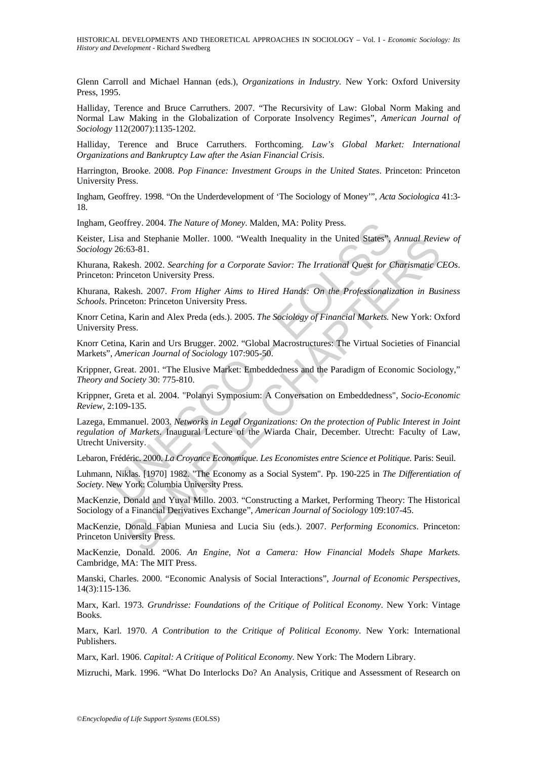HISTORICAL DEVELOPMENTS AND THEORETICAL APPROACHES IN SOCIOLOGY – Vol. I - *Economic Sociology: Its History and Development* - Richard Swedberg

Glenn Carroll and Michael Hannan (eds.), *Organizations in Industry.* New York: Oxford University Press, 1995.

Halliday, Terence and Bruce Carruthers. 2007. "The Recursivity of Law: Global Norm Making and Normal Law Making in the Globalization of Corporate Insolvency Regimes", *American Journal of Sociology* 112(2007):1135-1202.

Halliday, Terence and Bruce Carruthers. Forthcoming. *Law's Global Market: International Organizations and Bankruptcy Law after the Asian Financial Crisis*.

Harrington, Brooke. 2008. *Pop Finance: Investment Groups in the United States*. Princeton: Princeton University Press.

Ingham, Geoffrey. 1998. "On the Underdevelopment of 'The Sociology of Money'", *Acta Sociologica* 41:3- 18.

Ingham, Geoffrey. 2004. *The Nature of Money*. Malden, MA: Polity Press.

Keister, Lisa and Stephanie Moller. 1000. "Wealth Inequality in the United States", *Annual Review of Sociology* 26:63-81.

Khurana, Rakesh. 2002. *Searching for a Corporate Savior: The Irrational Quest for Charismatic CEOs*. Princeton: Princeton University Press.

Khurana, Rakesh. 2007. *From Higher Aims to Hired Hands: On the Professionalization in Business Schools*. Princeton: Princeton University Press.

Knorr Cetina, Karin and Alex Preda (eds.). 2005. *The Sociology of Financial Markets.* New York: Oxford University Press.

Knorr Cetina, Karin and Urs Brugger. 2002. "Global Macrostructures: The Virtual Societies of Financial Markets", *American Journal of Sociology* 107:905-50.

Krippner, Great. 2001. "The Elusive Market: Embeddedness and the Paradigm of Economic Sociology," *Theory and Society* 30: 775-810.

Krippner, Greta et al. 2004. "Polanyi Symposium: A Conversation on Embeddedness", *Socio-Economic Review*, 2:109-135.

Geoffrey. 2004. The Nature of Money. Malden, MA: Polity Press.<br>
26:63-81.<br>
26:63-81.<br>
26:63-81.<br>
26:63-81.<br>
26:63-81.<br>
Rakesh. 2002. Searching for a Corporate Savior: The Irrational Quest for C<br>
Rakesh. 2007. From Higher A and Stephanie Moller. 1000. "Wealth Inequality in the United States". Annual Revies-<br>
163-81.<br>
163-81.<br>
165-81.<br>
168-1. 2002. Searching for a Corporate Savior: The Irrational Quest for Charismatic C<br>
168-1. 2007. From High Lazega, Emmanuel. 2003. *Networks in Legal Organizations: On the protection of Public Interest in Joint regulation of Markets*. Inaugural Lecture of the Wiarda Chair, December. Utrecht: Faculty of Law, Utrecht University.

Lebaron, Frédéric. 2000. *La Croyance Economique. Les Economistes entre Science et Politique.* Paris: Seuil.

Luhmann, Niklas. [1970] 1982. "The Economy as a Social System". Pp. 190-225 in *The Differentiation of Society*. New York: Columbia University Press.

MacKenzie, Donald and Yuval Millo. 2003. "Constructing a Market, Performing Theory: The Historical Sociology of a Financial Derivatives Exchange", *American Journal of Sociology* 109:107-45.

MacKenzie, Donald Fabian Muniesa and Lucia Siu (eds.). 2007. *Performing Economics*. Princeton: Princeton University Press.

MacKenzie, Donald. 2006. *An Engine, Not a Camera: How Financial Models Shape Markets.*  Cambridge, MA: The MIT Press.

Manski, Charles. 2000. "Economic Analysis of Social Interactions", *Journal of Economic Perspectives,* 14(3):115-136.

Marx, Karl. 1973*. Grundrisse: Foundations of the Critique of Political Economy*. New York: Vintage Books.

Marx, Karl. 1970. *A Contribution to the Critique of Political Economy*. New York: International Publishers.

Marx, Karl. 1906. *Capital: A Critique of Political Economy*. New York: The Modern Library.

Mizruchi, Mark. 1996. "What Do Interlocks Do? An Analysis, Critique and Assessment of Research on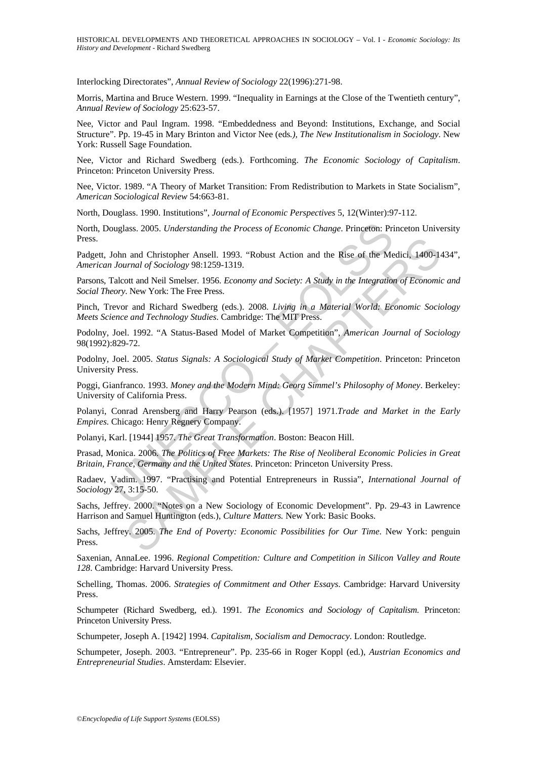Interlocking Directorates", *Annual Review of Sociology* 22(1996):271-98.

Morris, Martina and Bruce Western. 1999. "Inequality in Earnings at the Close of the Twentieth century", *Annual Review of Sociology* 25:623-57.

Nee, Victor and Paul Ingram. 1998. "Embeddedness and Beyond: Institutions, Exchange, and Social Structure". Pp. 19-45 in Mary Brinton and Victor Nee (eds*.), The New Institutionalism in Sociology*. New York: Russell Sage Foundation.

Nee, Victor and Richard Swedberg (eds.). Forthcoming. *The Economic Sociology of Capitalism*. Princeton: Princeton University Press.

Nee, Victor. 1989. "A Theory of Market Transition: From Redistribution to Markets in State Socialism", *American Sociological Review* 54:663-81.

North, Douglass. 1990. Institutions", *Journal of Economic Perspectives* 5, 12(Winter):97-112.

North, Douglass. 2005. *Understanding the Process of Economic Change*. Princeton: Princeton University Press.

Padgett, John and Christopher Ansell. 1993. "Robust Action and the Rise of the Medici, 1400-1434", *American Journal of Sociology* 98:1259-1319.

Parsons, Talcott and Neil Smelser. 1956. *Economy and Society: A Study in the Integration of Economic and Social Theory*. New York: The Free Press.

Pinch, Trevor and Richard Swedberg (eds.). 2008. *Living in a Material World: Economic Sociology Meets Science and Technology Studies*. Cambridge: The MIT Press.

Podolny, Joel. 1992. "A Status-Based Model of Market Competition", *American Journal of Sociology*  98(1992):829-72.

Podolny, Joel. 2005. *Status Signals: A Sociological Study of Market Competition*. Princeton: Princeton University Press.

ouglass. 2005. *Understanding the Process of Economic Change*. Princeton: Pri<br>
John and Christopher Ansell. 1993. "Robust Action and the Rise of the Me<br>
Journal of Sociology 98:1259-1319.<br>
Talout and Neil Smelser. 1956. *E* and Christopher Ansell. 1993. "Robust Action and the Rise of the Medici, 1400-1<br>
star and of Sociology 98:1259-1319.<br>
Contained of Sociology 98:1259-1319.<br>
Contained Medi Smelser. 1956. *Economy and Society: A Study in the* Poggi, Gianfranco. 1993. *Money and the Modern Mind: Georg Simmel's Philosophy of Money*. Berkeley: University of California Press.

Polanyi, Conrad Arensberg and Harry Pearson (eds.). [1957] 1971.*Trade and Market in the Early Empires.* Chicago: Henry Regnery Company.

Polanyi, Karl. [1944] 1957. *The Great Transformation*. Boston: Beacon Hill.

Prasad, Monica. 2006. *The Politics of Free Markets: The Rise of Neoliberal Economic Policies in Great Britain, France, Germany and the United States*. Princeton: Princeton University Press.

Radaev, Vadim. 1997. "Practising and Potential Entrepreneurs in Russia", *International Journal of Sociology* 27, 3:15-50.

Sachs, Jeffrey. 2000. "Notes on a New Sociology of Economic Development". Pp. 29-43 in Lawrence Harrison and Samuel Huntington (eds.), *Culture Matters.* New York: Basic Books.

Sachs, Jeffrey. 2005. *The End of Poverty: Economic Possibilities for Our Time*. New York: penguin Press.

Saxenian, AnnaLee. 1996. *Regional Competition: Culture and Competition in Silicon Valley and Route 128*. Cambridge: Harvard University Press.

Schelling, Thomas. 2006. *Strategies of Commitment and Other Essays*. Cambridge: Harvard University Press.

Schumpeter (Richard Swedberg, ed.). 1991. *The Economics and Sociology of Capitalism.* Princeton: Princeton University Press.

Schumpeter, Joseph A. [1942] 1994. *Capitalism, Socialism and Democracy*. London: Routledge.

Schumpeter, Joseph. 2003. "Entrepreneur". Pp. 235-66 in Roger Koppl (ed.), *Austrian Economics and Entrepreneurial Studies*. Amsterdam: Elsevier.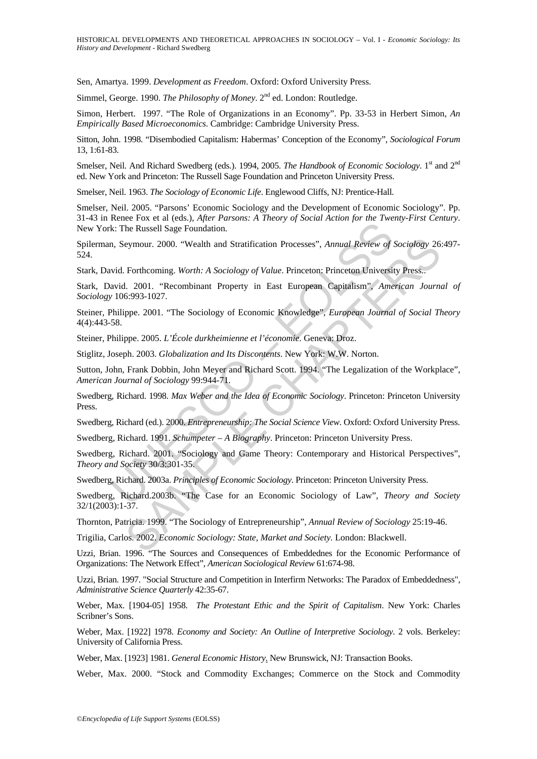Sen, Amartya. 1999. *Development as Freedom*. Oxford: Oxford University Press.

Simmel, George. 1990. *The Philosophy of Money*. 2<sup>nd</sup> ed. London: Routledge.

Simon, Herbert. 1997. "The Role of Organizations in an Economy". Pp. 33-53 in Herbert Simon, *An Empirically Based Microeconomics*. Cambridge: Cambridge University Press.

Sitton, John. 1998. "Disembodied Capitalism: Habermas' Conception of the Economy", *Sociological Forum* 13, 1:61-83.

Smelser, Neil. And Richard Swedberg (eds.). 1994, 2005. *The Handbook of Economic Sociology*. 1<sup>st</sup> and 2<sup>nd</sup> ed. New York and Princeton: The Russell Sage Foundation and Princeton University Press.

Smelser, Neil. 1963. *The Sociology of Economic Life*. Englewood Cliffs, NJ: Prentice-Hall.

Smelser, Neil. 2005. "Parsons' Economic Sociology and the Development of Economic Sociology". Pp. 31-43 in Renee Fox et al (eds.), *After Parsons: A Theory of Social Action for the Twenty-First Century*. New York: The Russell Sage Foundation.

Spilerman, Seymour. 2000. "Wealth and Stratification Processes", *Annual Review of Sociology* 26:497- 524.

Stark, David. Forthcoming. *Worth: A Sociology of Value*. Princeton: Princeton University Press..

Stark, David. 2001. "Recombinant Property in East European Capitalism", *American Journal of Sociology* 106:993-1027.

Example 12 (Northern 12 (Northern 12 (Northern 12 (Northern 12 (Northern 12 (Northern 12 (Northern 12 (Northern 12 (Northern 12 (Northern 12 (Northern 12 (Northern 12 (Northern 12 (Northern 12 (Northern 12 (Northern 12 (No eymour. 2000. "Wealth and Stratification Processes", *Annual Review of Sociology* 26<br>
Forthcoming. Worth: A Sociology of Value. Princeton: Princeton University Press..<br>
1. 2001. "Recombinant Property in East European Capit Steiner, Philippe. 2001. "The Sociology of Economic Knowledge", *European Journal of Social Theory*  4(4):443-58.

Steiner, Philippe. 2005. *L'École durkheimienne et l'économie*. Geneva: Droz.

Stiglitz, Joseph. 2003. *Globalization and Its Discontents*. New York: W.W. Norton.

Sutton, John, Frank Dobbin, John Meyer and Richard Scott. 1994. "The Legalization of the Workplace", *American Journal of Sociology* 99:944-71.

Swedberg, Richard. 1998. *Max Weber and the Idea of Economic Sociology*. Princeton: Princeton University Press.

Swedberg, Richard (ed.). 2000. *Entrepreneurship: The Social Science View*. Oxford: Oxford University Press.

Swedberg, Richard. 1991. *Schumpeter – A Biography*. Princeton: Princeton University Press.

Swedberg, Richard. 2001. "Sociology and Game Theory: Contemporary and Historical Perspectives", *Theory and Society* 30/3:301-35.

Swedberg, Richard. 2003a. *Principles of Economic Sociology*. Princeton: Princeton University Press.

Swedberg, Richard.2003b. "The Case for an Economic Sociology of Law", *Theory and Society* 32/1(2003):1-37.

Thornton, Patricia. 1999. "The Sociology of Entrepreneurship", *Annual Review of Sociology* 25:19-46.

Trigilia, Carlos. 2002. *Economic Sociology: State, Market and Society.* London: Blackwell.

Uzzi, Brian. 1996. "The Sources and Consequences of Embeddednes for the Economic Performance of Organizations: The Network Effect", *American Sociological Review* 61:674-98.

Uzzi, Brian. 1997. "Social Structure and Competition in Interfirm Networks: The Paradox of Embeddedness", *Administrative Science Quarterly* 42:35-67.

Weber, Max. [1904-05] 1958. *The Protestant Ethic and the Spirit of Capitalism*. New York: Charles Scribner's Sons.

Weber, Max. [1922] 1978. *Economy and Society: An Outline of Interpretive Sociology*. 2 vols. Berkeley: University of California Press.

Weber, Max. [1923] 1981. *General Economic History*. New Brunswick, NJ: Transaction Books.

Weber, Max. 2000. "Stock and Commodity Exchanges; Commerce on the Stock and Commodity